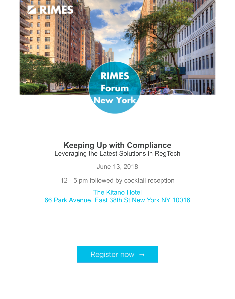

## **Keeping Up with Compliance** Leveraging the Latest Solutions in RegTech

June 13, 2018

12 - 5 pm followed by cocktail reception

The Kitano Hotel [66 Park Avenue, East 38th St New York NY 10016](https://marketing.rimes.com/acton/ct/8946/e-0b81-1806/Bct/l-tst/l-tst:6/ct5_0/1?sid=TV2%3ACuMipDwkn)

Register now  $\rightarrow$